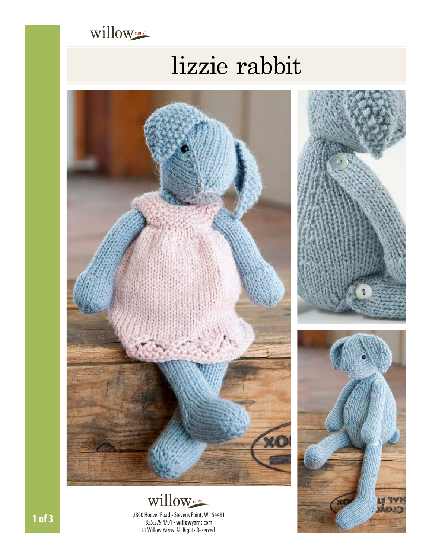

# lizzie rabbit





**1 of 3** 2800 Hoover Road • Stevens Point, WI 54481 855.279.4701• **willow**[yarns.com](www.willowyarns.com) © Willow Yarns. All Rights Reserved.



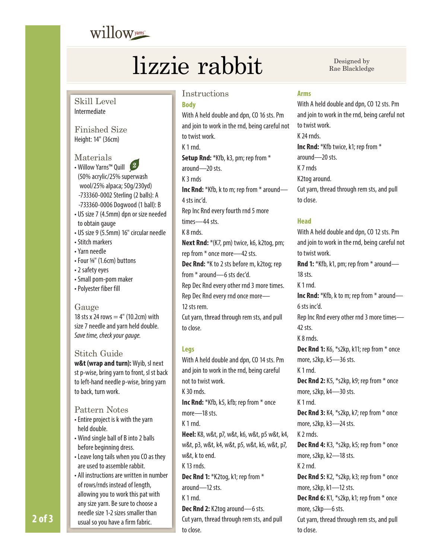## willow<sub>yarns</sub>

## lizzie rabbit Ree Blackledge

Rae Blackledge

Skill Level Intermediate

Finished Size Height: 14" (36cm)

Materials

- Willow Yarns™ Quill (50% acrylic/25% superwash wool/25% alpaca; 50g/230yd) -733360-0002 Sterling (2 balls): A -733360-0006 Dogwood (1 ball): B
- US size 7 (4.5mm) dpn or size needed to obtain gauge
- US size 9 (5.5mm) 16" circular needle
- Stitch markers
- Yarn needle
- Four 5⁄ 8" (1.6cm) buttons
- 2 safety eyes
- Small pom-pom maker
- Polyester fiber fill

### Gauge

18 sts x 24 rows  $=$  4" (10.2cm) with size 7 needle and yarn held double. *Save time, check your gauge.*

### Stitch Guide

**w&t (wrap and turn):** Wyib, sl next st p-wise, bring yarn to front, sl st back to left-hand needle p-wise, bring yarn to back, turn work.

### Pattern Notes

- Entire project is k with the yarn held double.
- Wind single ball of B into 2 balls before beginning dress.
- Leave long tails when you CO as they are used to assemble rabbit.
- All instructions are written in number of rows/rnds instead of length, allowing you to work this pat with any size yarn. Be sure to choose a **2 of 3** usual so you have a firm fabric.

### Instructions

### **Body**

With A held double and dpn, CO 16 sts. Pm and join to work in the rnd, being careful not to twist work. K 1 rnd. **Setup Rnd:** \*Kfb, k3, pm; rep from \* around—20 sts. K 3 rnds **Inc Rnd:** \*Kfb, k to m; rep from \* around— 4 sts inc'd.

- Rep Inc Rnd every fourth rnd 5 more times—44 sts.
- K 8 rnds.
- **Next Rnd:** \*(K7, pm) twice, k6, k2tog, pm;

rep from \* once more—42 sts.

**Dec Rnd:** \*K to 2 sts before m, k2tog; rep

from \* around—6 sts dec'd.

Rep Dec Rnd every other rnd 3 more times. Rep Dec Rnd every rnd once more—

12 sts rem.

Cut yarn, thread through rem sts, and pull to close.

### **Legs**

With A held double and dpn, CO 14 sts. Pm and join to work in the rnd, being careful not to twist work. K 30 rnds. **Inc Rnd:** \*Kfb, k5, kfb; rep from \* once more—18 sts. K 1 rnd. **Heel:** K8, w&t, p7, w&t, k6, w&t, p5 w&t, k4,

w&t, p3, w&t, k4, w&t, p5, w&t, k6, w&t, p7, w&t, k to end.

K 13 rnds.

**Dec Rnd 1:** \*K2tog, k1; rep from \* around—12 sts. K 1 rnd.

**Dec Rnd 2:** K2tog around—6 sts. Cut yarn, thread through rem sts, and pull to close.

### **Arms**

With A held double and dpn, CO 12 sts. Pm and join to work in the rnd, being careful not to twist work. K 24 rnds. **Inc Rnd:** \*Kfb twice, k1; rep from \* around—20 sts. K 7 rnds K2tog around. Cut yarn, thread through rem sts, and pull to close.

### **Head**

With A held double and dpn, CO 12 sts. Pm and join to work in the rnd, being careful not to twist work. **Rnd 1:** \*Kfb, k1, pm; rep from \* around— 18 sts. K 1 rnd. **Inc Rnd:** \*Kfb, k to m; rep from \* around— 6 sts inc'd. Rep Inc Rnd every other rnd 3 more times— 42 sts. K 8 rnds. **Dec Rnd 1:** K6, \*s2kp, k11; rep from \* once more, s2kp, k5—36 sts. K 1 rnd. **Dec Rnd 2:** K5, \*s2kp, k9; rep from \* once more, s2kp, k4—30 sts. K 1 rnd. **Dec Rnd 3:** K4, \*s2kp, k7; rep from \* once more, s2kp, k3—24 sts. K 2 rnds. **Dec Rnd 4:** K3, \*s2kp, k5; rep from \* once more, s2kp, k2—18 sts. K 2 rnd. **Dec Rnd 5:** K2, \*s2kp, k3; rep from \* once more, s2kp, k1—12 sts. **Dec Rnd 6:** K1, \*s2kp, k1; rep from \* once more, s2kp—6 sts. Cut yarn, thread through rem sts, and pull to close.